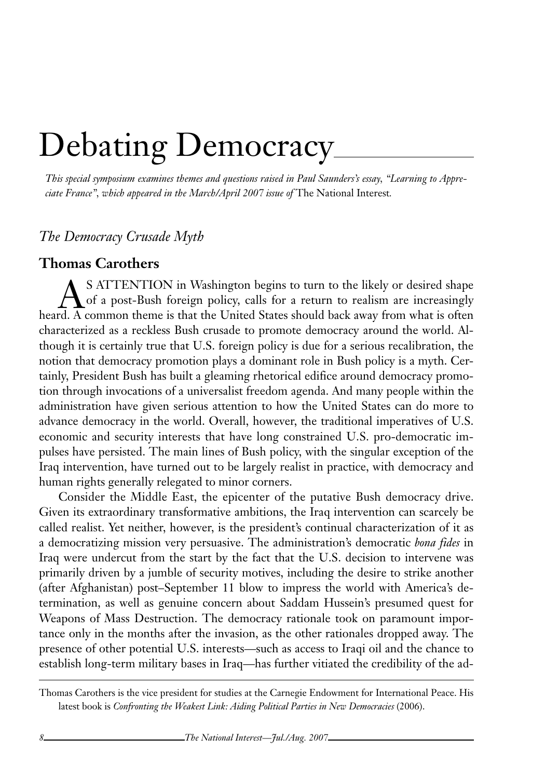## Debating Democracy

*This special symposium examines themes and questions raised in Paul Saunders's essay, "Learning to Appreciate France", which appeared in the March/April 2007 issue of The National Interest.* 

## *The Democracy Crusade Myth*

## **Thomas Carothers**

S ATTENTION in Washington begins to turn to the likely or desired shape<br>of a post-Bush foreign policy, calls for a return to realism are increasingly<br>cd. A common theme is that the United States should back away from what of a post-Bush foreign policy, calls for a return to realism are increasingly heard. A common theme is that the United States should back away from what is often characterized as a reckless Bush crusade to promote democracy around the world. Although it is certainly true that U.S. foreign policy is due for a serious recalibration, the notion that democracy promotion plays a dominant role in Bush policy is a myth. Certainly, President Bush has built a gleaming rhetorical edifice around democracy promotion through invocations of a universalist freedom agenda. And many people within the administration have given serious attention to how the United States can do more to advance democracy in the world. Overall, however, the traditional imperatives of U.S. economic and security interests that have long constrained U.S. pro-democratic impulses have persisted. The main lines of Bush policy, with the singular exception of the Iraq intervention, have turned out to be largely realist in practice, with democracy and human rights generally relegated to minor corners.

Consider the Middle East, the epicenter of the putative Bush democracy drive. Given its extraordinary transformative ambitions, the Iraq intervention can scarcely be called realist. Yet neither, however, is the president's continual characterization of it as a democratizing mission very persuasive. The administration's democratic *bona fides* in Iraq were undercut from the start by the fact that the U.S. decision to intervene was primarily driven by a jumble of security motives, including the desire to strike another (after Afghanistan) post–September 11 blow to impress the world with America's determination, as well as genuine concern about Saddam Hussein's presumed quest for Weapons of Mass Destruction. The democracy rationale took on paramount importance only in the months after the invasion, as the other rationales dropped away. The presence of other potential U.S. interests—such as access to Iraqi oil and the chance to establish long-term military bases in Iraq—has further vitiated the credibility of the ad-

Thomas Carothers is the vice president for studies at the Carnegie Endowment for International Peace. His latest book is *Confronting the Weakest Link: Aiding Political Parties in New Democracies* (2006).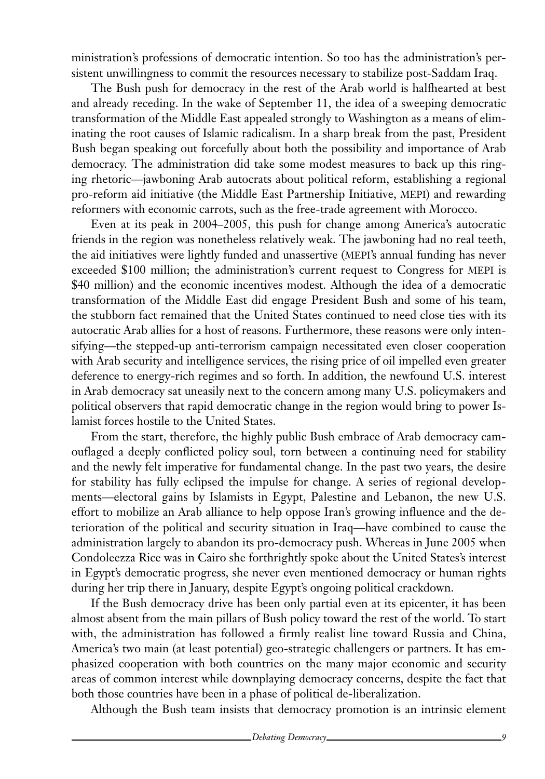ministration's professions of democratic intention. So too has the administration's persistent unwillingness to commit the resources necessary to stabilize post-Saddam Iraq.

The Bush push for democracy in the rest of the Arab world is halfhearted at best and already receding. In the wake of September 11, the idea of a sweeping democratic transformation of the Middle East appealed strongly to Washington as a means of eliminating the root causes of Islamic radicalism. In a sharp break from the past, President Bush began speaking out forcefully about both the possibility and importance of Arab democracy. The administration did take some modest measures to back up this ringing rhetoric—jawboning Arab autocrats about political reform, establishing a regional pro-reform aid initiative (the Middle East Partnership Initiative, MEPI) and rewarding reformers with economic carrots, such as the free-trade agreement with Morocco.

Even at its peak in 2004–2005, this push for change among America's autocratic friends in the region was nonetheless relatively weak. The jawboning had no real teeth, the aid initiatives were lightly funded and unassertive (mepi's annual funding has never exceeded \$100 million; the administration's current request to Congress for mepi is \$40 million) and the economic incentives modest. Although the idea of a democratic transformation of the Middle East did engage President Bush and some of his team, the stubborn fact remained that the United States continued to need close ties with its autocratic Arab allies for a host of reasons. Furthermore, these reasons were only intensifying—the stepped-up anti-terrorism campaign necessitated even closer cooperation with Arab security and intelligence services, the rising price of oil impelled even greater deference to energy-rich regimes and so forth. In addition, the newfound U.S. interest in Arab democracy sat uneasily next to the concern among many U.S. policymakers and political observers that rapid democratic change in the region would bring to power Islamist forces hostile to the United States.

From the start, therefore, the highly public Bush embrace of Arab democracy camouflaged a deeply conflicted policy soul, torn between a continuing need for stability and the newly felt imperative for fundamental change. In the past two years, the desire for stability has fully eclipsed the impulse for change. A series of regional developments—electoral gains by Islamists in Egypt, Palestine and Lebanon, the new U.S. effort to mobilize an Arab alliance to help oppose Iran's growing influence and the deterioration of the political and security situation in Iraq—have combined to cause the administration largely to abandon its pro-democracy push. Whereas in June 2005 when Condoleezza Rice was in Cairo she forthrightly spoke about the United States's interest in Egypt's democratic progress, she never even mentioned democracy or human rights during her trip there in January, despite Egypt's ongoing political crackdown.

If the Bush democracy drive has been only partial even at its epicenter, it has been almost absent from the main pillars of Bush policy toward the rest of the world. To start with, the administration has followed a firmly realist line toward Russia and China, America's two main (at least potential) geo-strategic challengers or partners. It has emphasized cooperation with both countries on the many major economic and security areas of common interest while downplaying democracy concerns, despite the fact that both those countries have been in a phase of political de-liberalization.

Although the Bush team insists that democracy promotion is an intrinsic element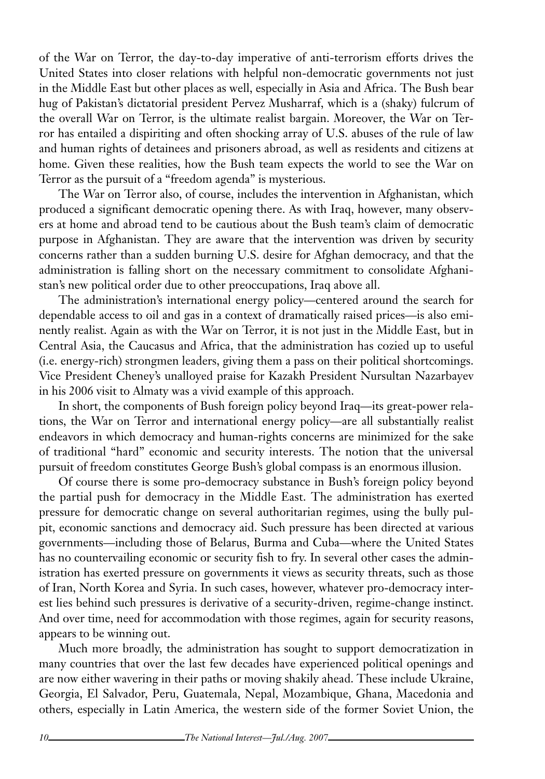of the War on Terror, the day-to-day imperative of anti-terrorism efforts drives the United States into closer relations with helpful non-democratic governments not just in the Middle East but other places as well, especially in Asia and Africa. The Bush bear hug of Pakistan's dictatorial president Pervez Musharraf, which is a (shaky) fulcrum of the overall War on Terror, is the ultimate realist bargain. Moreover, the War on Terror has entailed a dispiriting and often shocking array of U.S. abuses of the rule of law and human rights of detainees and prisoners abroad, as well as residents and citizens at home. Given these realities, how the Bush team expects the world to see the War on Terror as the pursuit of a "freedom agenda" is mysterious.

The War on Terror also, of course, includes the intervention in Afghanistan, which produced a significant democratic opening there. As with Iraq, however, many observers at home and abroad tend to be cautious about the Bush team's claim of democratic purpose in Afghanistan. They are aware that the intervention was driven by security concerns rather than a sudden burning U.S. desire for Afghan democracy, and that the administration is falling short on the necessary commitment to consolidate Afghanistan's new political order due to other preoccupations, Iraq above all.

The administration's international energy policy—centered around the search for dependable access to oil and gas in a context of dramatically raised prices—is also eminently realist. Again as with the War on Terror, it is not just in the Middle East, but in Central Asia, the Caucasus and Africa, that the administration has cozied up to useful (i.e. energy-rich) strongmen leaders, giving them a pass on their political shortcomings. Vice President Cheney's unalloyed praise for Kazakh President Nursultan Nazarbayev in his 2006 visit to Almaty was a vivid example of this approach.

In short, the components of Bush foreign policy beyond Iraq—its great-power relations, the War on Terror and international energy policy—are all substantially realist endeavors in which democracy and human-rights concerns are minimized for the sake of traditional "hard" economic and security interests. The notion that the universal pursuit of freedom constitutes George Bush's global compass is an enormous illusion.

Of course there is some pro-democracy substance in Bush's foreign policy beyond the partial push for democracy in the Middle East. The administration has exerted pressure for democratic change on several authoritarian regimes, using the bully pulpit, economic sanctions and democracy aid. Such pressure has been directed at various governments—including those of Belarus, Burma and Cuba—where the United States has no countervailing economic or security fish to fry. In several other cases the administration has exerted pressure on governments it views as security threats, such as those of Iran, North Korea and Syria. In such cases, however, whatever pro-democracy interest lies behind such pressures is derivative of a security-driven, regime-change instinct. And over time, need for accommodation with those regimes, again for security reasons, appears to be winning out.

Much more broadly, the administration has sought to support democratization in many countries that over the last few decades have experienced political openings and are now either wavering in their paths or moving shakily ahead. These include Ukraine, Georgia, El Salvador, Peru, Guatemala, Nepal, Mozambique, Ghana, Macedonia and others, especially in Latin America, the western side of the former Soviet Union, the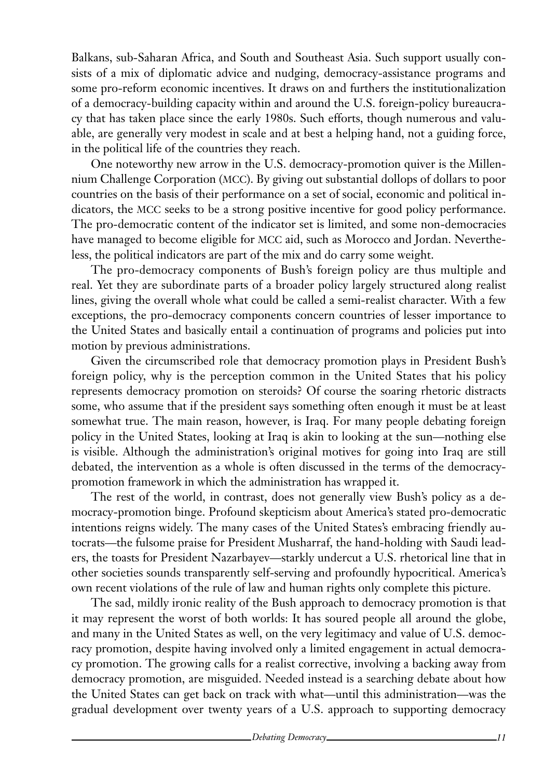Balkans, sub-Saharan Africa, and South and Southeast Asia. Such support usually consists of a mix of diplomatic advice and nudging, democracy-assistance programs and some pro-reform economic incentives. It draws on and furthers the institutionalization of a democracy-building capacity within and around the U.S. foreign-policy bureaucracy that has taken place since the early 1980s. Such efforts, though numerous and valuable, are generally very modest in scale and at best a helping hand, not a guiding force, in the political life of the countries they reach.

One noteworthy new arrow in the U.S. democracy-promotion quiver is the Millennium Challenge Corporation (mcc). By giving out substantial dollops of dollars to poor countries on the basis of their performance on a set of social, economic and political indicators, the mcc seeks to be a strong positive incentive for good policy performance. The pro-democratic content of the indicator set is limited, and some non-democracies have managed to become eligible for mcc aid, such as Morocco and Jordan. Nevertheless, the political indicators are part of the mix and do carry some weight.

The pro-democracy components of Bush's foreign policy are thus multiple and real. Yet they are subordinate parts of a broader policy largely structured along realist lines, giving the overall whole what could be called a semi-realist character. With a few exceptions, the pro-democracy components concern countries of lesser importance to the United States and basically entail a continuation of programs and policies put into motion by previous administrations.

Given the circumscribed role that democracy promotion plays in President Bush's foreign policy, why is the perception common in the United States that his policy represents democracy promotion on steroids? Of course the soaring rhetoric distracts some, who assume that if the president says something often enough it must be at least somewhat true. The main reason, however, is Iraq. For many people debating foreign policy in the United States, looking at Iraq is akin to looking at the sun—nothing else is visible. Although the administration's original motives for going into Iraq are still debated, the intervention as a whole is often discussed in the terms of the democracypromotion framework in which the administration has wrapped it.

The rest of the world, in contrast, does not generally view Bush's policy as a democracy-promotion binge. Profound skepticism about America's stated pro-democratic intentions reigns widely. The many cases of the United States's embracing friendly autocrats—the fulsome praise for President Musharraf, the hand-holding with Saudi leaders, the toasts for President Nazarbayev—starkly undercut a U.S. rhetorical line that in other societies sounds transparently self-serving and profoundly hypocritical. America's own recent violations of the rule of law and human rights only complete this picture.

The sad, mildly ironic reality of the Bush approach to democracy promotion is that it may represent the worst of both worlds: It has soured people all around the globe, and many in the United States as well, on the very legitimacy and value of U.S. democracy promotion, despite having involved only a limited engagement in actual democracy promotion. The growing calls for a realist corrective, involving a backing away from democracy promotion, are misguided. Needed instead is a searching debate about how the United States can get back on track with what—until this administration—was the gradual development over twenty years of a U.S. approach to supporting democracy